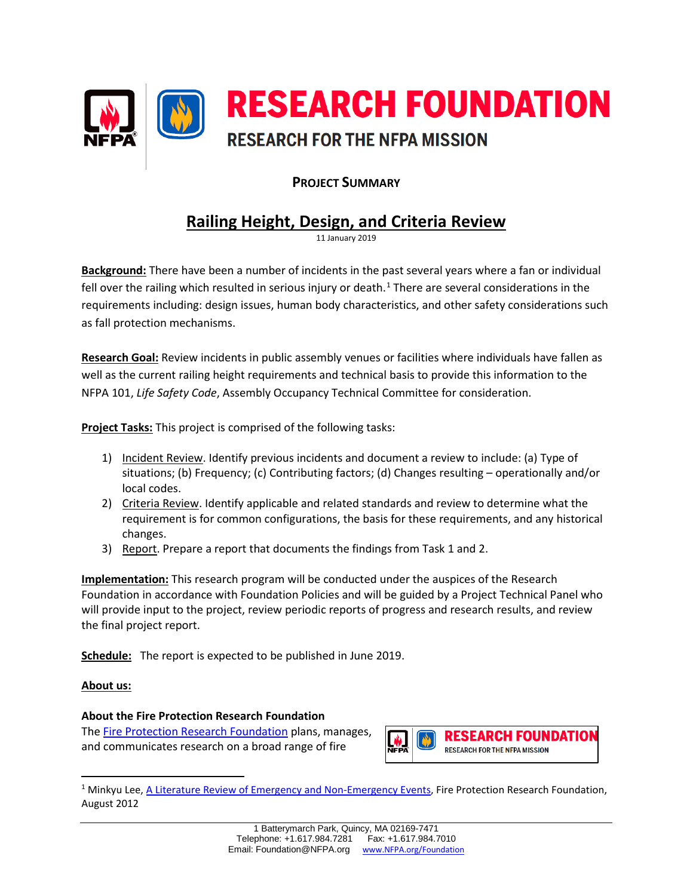

## **PROJECT SUMMARY**

# **Railing Height, Design, and Criteria Review**

11 January 2019

**Background:** There have been a number of incidents in the past several years where a fan or individual fell over the railing which resulted in serious injury or death.<sup>[1](#page-0-0)</sup> There are several considerations in the requirements including: design issues, human body characteristics, and other safety considerations such as fall protection mechanisms.

**Research Goal:** Review incidents in public assembly venues or facilities where individuals have fallen as well as the current railing height requirements and technical basis to provide this information to the NFPA 101, *Life Safety Code*, Assembly Occupancy Technical Committee for consideration.

**Project Tasks:** This project is comprised of the following tasks:

- 1) Incident Review. Identify previous incidents and document a review to include: (a) Type of situations; (b) Frequency; (c) Contributing factors; (d) Changes resulting – operationally and/or local codes.
- 2) Criteria Review. Identify applicable and related standards and review to determine what the requirement is for common configurations, the basis for these requirements, and any historical changes.
- 3) Report. Prepare a report that documents the findings from Task 1 and 2.

**Implementation:** This research program will be conducted under the auspices of the Research Foundation in accordance with Foundation Policies and will be guided by a Project Technical Panel who will provide input to the project, review periodic reports of progress and research results, and review the final project report.

**Schedule:** The report is expected to be published in June 2019.

#### **About us:**

<span id="page-0-0"></span> $\overline{\phantom{a}}$ 

### **About the Fire Protection Research Foundation**

The [Fire Protection Research Foundation](http://www.nfpa.org/foundation) plans, manages, and communicates research on a broad range of fire



<sup>&</sup>lt;sup>1</sup> Minkyu Lee, [A Literature Review of Emergency and Non-Emergency Events,](http://www.nfpa.org/%7E/media/files/news-and-research/resources/research-foundation/rfemergencyandnonemergencyevents.pdf?la=en) Fire Protection Research Foundation, August 2012